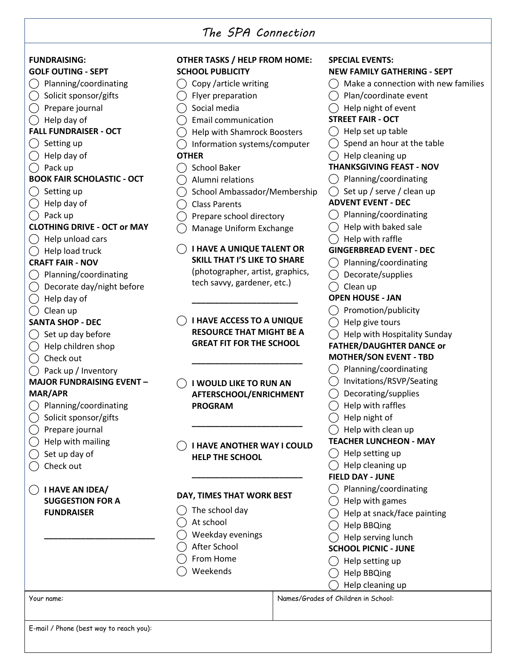## *The SPA Connection*

| <b>000000000000000000000000000</b>               |                                                                 |                                                              |
|--------------------------------------------------|-----------------------------------------------------------------|--------------------------------------------------------------|
| <b>FUNDRAISING:</b><br><b>GOLF OUTING - SEPT</b> | <b>OTHER TASKS / HELP FROM HOME:</b><br><b>SCHOOL PUBLICITY</b> | <b>SPECIAL EVENTS:</b><br><b>NEW FAMILY GATHERING - SEPT</b> |
| Planning/coordinating                            | Copy /article writing                                           | Make a connection with new families                          |
| Solicit sponsor/gifts                            | Flyer preparation                                               | Plan/coordinate event                                        |
| Prepare journal                                  | Social media                                                    | Help night of event                                          |
| Help day of                                      | <b>Email communication</b>                                      | <b>STREET FAIR - OCT</b>                                     |
| <b>FALL FUNDRAISER - OCT</b>                     | <b>Help with Shamrock Boosters</b>                              | Help set up table                                            |
| Setting up                                       |                                                                 | Spend an hour at the table                                   |
|                                                  | Information systems/computer                                    |                                                              |
| Help day of                                      | <b>OTHER</b>                                                    | Help cleaning up<br><b>THANKSGIVING FEAST - NOV</b>          |
| Pack up                                          | <b>School Baker</b>                                             |                                                              |
| <b>BOOK FAIR SCHOLASTIC - OCT</b>                | Alumni relations                                                | Planning/coordinating                                        |
| Setting up                                       | School Ambassador/Membership                                    | Set up / serve / clean up                                    |
| Help day of                                      | <b>Class Parents</b>                                            | <b>ADVENT EVENT - DEC</b>                                    |
| Pack up                                          | Prepare school directory                                        | Planning/coordinating                                        |
| <b>CLOTHING DRIVE - OCT or MAY</b>               | Manage Uniform Exchange                                         | Help with baked sale                                         |
| Help unload cars                                 |                                                                 | Help with raffle                                             |
| Help load truck                                  | <b>I HAVE A UNIQUE TALENT OR</b>                                | <b>GINGERBREAD EVENT - DEC</b>                               |
| <b>CRAFT FAIR - NOV</b>                          | <b>SKILL THAT I'S LIKE TO SHARE</b>                             | Planning/coordinating                                        |
| Planning/coordinating                            | (photographer, artist, graphics,                                | Decorate/supplies                                            |
| Decorate day/night before                        | tech savvy, gardener, etc.)                                     | Clean up                                                     |
| Help day of                                      |                                                                 | <b>OPEN HOUSE - JAN</b>                                      |
| Clean up                                         |                                                                 | Promotion/publicity                                          |
| <b>SANTA SHOP - DEC</b>                          | <b>I HAVE ACCESS TO A UNIQUE</b>                                | Help give tours                                              |
| Set up day before                                | <b>RESOURCE THAT MIGHT BE A</b>                                 | Help with Hospitality Sunday                                 |
| Help children shop                               | <b>GREAT FIT FOR THE SCHOOL</b>                                 | <b>FATHER/DAUGHTER DANCE or</b>                              |
| Check out                                        |                                                                 | <b>MOTHER/SON EVENT - TBD</b>                                |
| Pack up / Inventory                              |                                                                 | Planning/coordinating                                        |
| <b>MAJOR FUNDRAISING EVENT -</b>                 |                                                                 | Invitations/RSVP/Seating                                     |
| <b>MAR/APR</b>                                   | I WOULD LIKE TO RUN AN                                          | Decorating/supplies                                          |
|                                                  | AFTERSCHOOL/ENRICHMENT                                          |                                                              |
| Planning/coordinating                            | <b>PROGRAM</b>                                                  | Help with raffles                                            |
| Solicit sponsor/gifts                            |                                                                 | Help night of                                                |
| Prepare journal                                  |                                                                 | Help with clean up                                           |
| Help with mailing                                | <b>I HAVE ANOTHER WAY I COULD</b>                               | <b>TEACHER LUNCHEON - MAY</b>                                |
| Set up day of                                    | <b>HELP THE SCHOOL</b>                                          | Help setting up                                              |
| Check out                                        |                                                                 | Help cleaning up                                             |
|                                                  |                                                                 | <b>FIELD DAY - JUNE</b>                                      |
| I HAVE AN IDEA/                                  | DAY, TIMES THAT WORK BEST                                       | Planning/coordinating                                        |
| <b>SUGGESTION FOR A</b>                          |                                                                 | Help with games                                              |
| <b>FUNDRAISER</b>                                | The school day                                                  | Help at snack/face painting                                  |
|                                                  | At school                                                       | <b>Help BBQing</b>                                           |
|                                                  | Weekday evenings                                                | Help serving lunch                                           |
|                                                  | After School                                                    | <b>SCHOOL PICNIC - JUNE</b>                                  |
|                                                  | From Home                                                       | Help setting up                                              |
|                                                  | Weekends                                                        | <b>Help BBQing</b>                                           |
|                                                  |                                                                 | Help cleaning up                                             |
| Your name:                                       |                                                                 | Names/Grades of Children in School:                          |
|                                                  |                                                                 |                                                              |
|                                                  |                                                                 |                                                              |

E-mail / Phone (best way to reach you):